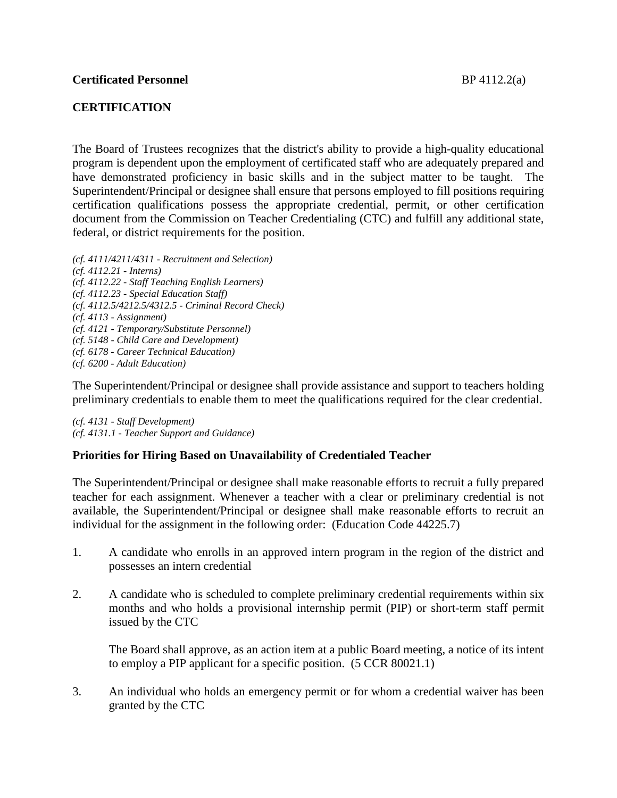# **CERTIFICATION**

The Board of Trustees recognizes that the district's ability to provide a high-quality educational program is dependent upon the employment of certificated staff who are adequately prepared and have demonstrated proficiency in basic skills and in the subject matter to be taught. The Superintendent/Principal or designee shall ensure that persons employed to fill positions requiring certification qualifications possess the appropriate credential, permit, or other certification document from the Commission on Teacher Credentialing (CTC) and fulfill any additional state, federal, or district requirements for the position.

*(cf. 4111/4211/4311 - Recruitment and Selection) (cf. 4112.21 - Interns) (cf. 4112.22 - Staff Teaching English Learners) (cf. 4112.23 - Special Education Staff) (cf. 4112.5/4212.5/4312.5 - Criminal Record Check) (cf. 4113 - Assignment) (cf. 4121 - Temporary/Substitute Personnel) (cf. 5148 - Child Care and Development) (cf. 6178 - Career Technical Education) (cf. 6200 - Adult Education)*

The Superintendent/Principal or designee shall provide assistance and support to teachers holding preliminary credentials to enable them to meet the qualifications required for the clear credential.

*(cf. 4131 - Staff Development) (cf. 4131.1 - Teacher Support and Guidance)*

## **Priorities for Hiring Based on Unavailability of Credentialed Teacher**

The Superintendent/Principal or designee shall make reasonable efforts to recruit a fully prepared teacher for each assignment. Whenever a teacher with a clear or preliminary credential is not available, the Superintendent/Principal or designee shall make reasonable efforts to recruit an individual for the assignment in the following order: (Education Code 44225.7)

- 1. A candidate who enrolls in an approved intern program in the region of the district and possesses an intern credential
- 2. A candidate who is scheduled to complete preliminary credential requirements within six months and who holds a provisional internship permit (PIP) or short-term staff permit issued by the CTC

The Board shall approve, as an action item at a public Board meeting, a notice of its intent to employ a PIP applicant for a specific position. (5 CCR 80021.1)

3. An individual who holds an emergency permit or for whom a credential waiver has been granted by the CTC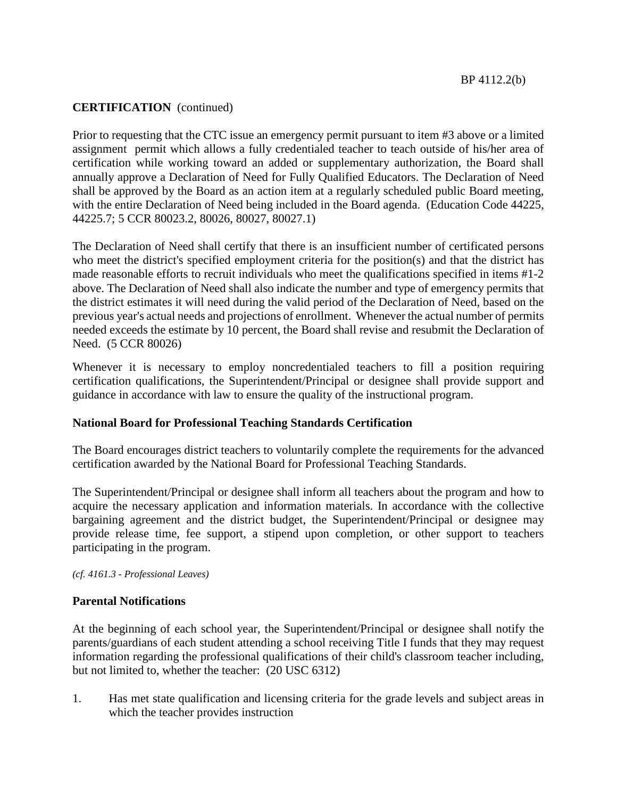# **CERTIFICATION** (continued)

Prior to requesting that the CTC issue an emergency permit pursuant to item #3 above or a limited assignment permit which allows a fully credentialed teacher to teach outside of his/her area of certification while working toward an added or supplementary authorization, the Board shall annually approve a Declaration of Need for Fully Qualified Educators. The Declaration of Need shall be approved by the Board as an action item at a regularly scheduled public Board meeting, with the entire Declaration of Need being included in the Board agenda. (Education Code 44225, 44225.7; 5 CCR 80023.2, 80026, 80027, 80027.1)

The Declaration of Need shall certify that there is an insufficient number of certificated persons who meet the district's specified employment criteria for the position(s) and that the district has made reasonable efforts to recruit individuals who meet the qualifications specified in items #1-2 above. The Declaration of Need shall also indicate the number and type of emergency permits that the district estimates it will need during the valid period of the Declaration of Need, based on the previous year's actual needs and projections of enrollment. Whenever the actual number of permits needed exceeds the estimate by 10 percent, the Board shall revise and resubmit the Declaration of Need. (5 CCR 80026)

Whenever it is necessary to employ noncredentialed teachers to fill a position requiring certification qualifications, the Superintendent/Principal or designee shall provide support and guidance in accordance with law to ensure the quality of the instructional program.

## **National Board for Professional Teaching Standards Certification**

The Board encourages district teachers to voluntarily complete the requirements for the advanced certification awarded by the National Board for Professional Teaching Standards.

The Superintendent/Principal or designee shall inform all teachers about the program and how to acquire the necessary application and information materials. In accordance with the collective bargaining agreement and the district budget, the Superintendent/Principal or designee may provide release time, fee support, a stipend upon completion, or other support to teachers participating in the program.

*(cf. 4161.3 - Professional Leaves)*

## **Parental Notifications**

At the beginning of each school year, the Superintendent/Principal or designee shall notify the parents/guardians of each student attending a school receiving Title I funds that they may request information regarding the professional qualifications of their child's classroom teacher including, but not limited to, whether the teacher: (20 USC 6312)

1. Has met state qualification and licensing criteria for the grade levels and subject areas in which the teacher provides instruction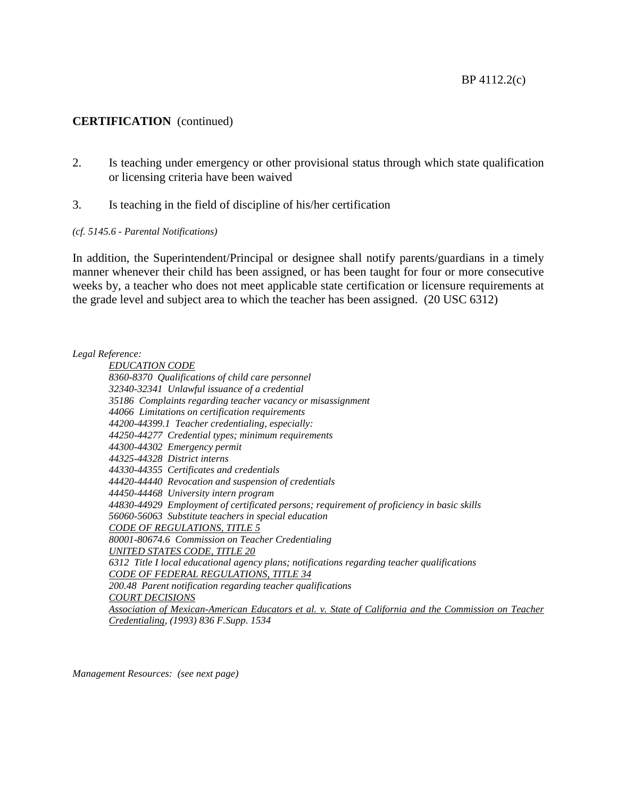#### **CERTIFICATION** (continued)

- 2. Is teaching under emergency or other provisional status through which state qualification or licensing criteria have been waived
- 3. Is teaching in the field of discipline of his/her certification

#### *(cf. 5145.6 - Parental Notifications)*

In addition, the Superintendent/Principal or designee shall notify parents/guardians in a timely manner whenever their child has been assigned, or has been taught for four or more consecutive weeks by, a teacher who does not meet applicable state certification or licensure requirements at the grade level and subject area to which the teacher has been assigned. (20 USC 6312)

#### *Legal Reference:*

*EDUCATION CODE 8360-8370 Qualifications of child care personnel 32340-32341 Unlawful issuance of a credential 35186 Complaints regarding teacher vacancy or misassignment 44066 Limitations on certification requirements 44200-44399.1 Teacher credentialing, especially: 44250-44277 Credential types; minimum requirements 44300-44302 Emergency permit 44325-44328 District interns 44330-44355 Certificates and credentials 44420-44440 Revocation and suspension of credentials 44450-44468 University intern program 44830-44929 Employment of certificated persons; requirement of proficiency in basic skills 56060-56063 Substitute teachers in special education CODE OF REGULATIONS, TITLE 5 80001-80674.6 Commission on Teacher Credentialing UNITED STATES CODE, TITLE 20 6312 Title I local educational agency plans; notifications regarding teacher qualifications CODE OF FEDERAL REGULATIONS, TITLE 34 200.48 Parent notification regarding teacher qualifications COURT DECISIONS Association of Mexican-American Educators et al. v. State of California and the Commission on Teacher Credentialing, (1993) 836 F.Supp. 1534*

*Management Resources: (see next page)*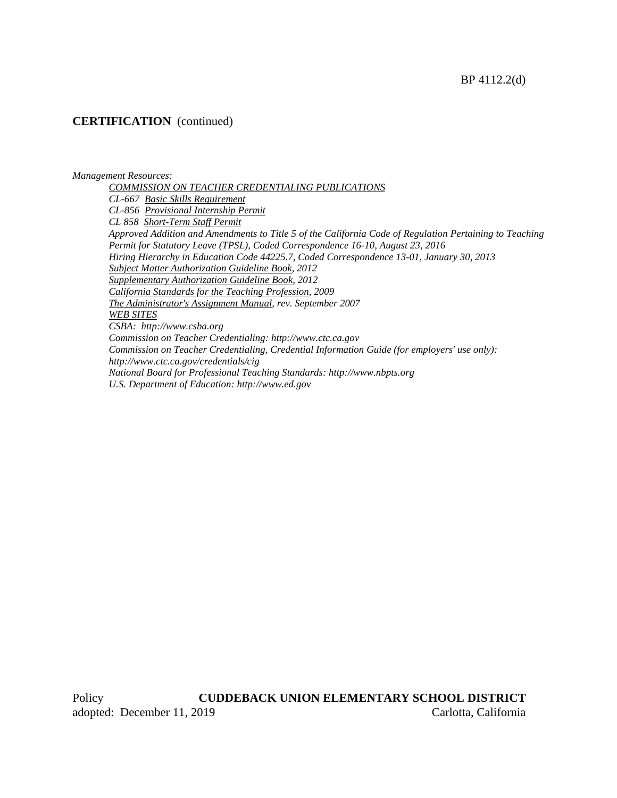## **CERTIFICATION** (continued)

#### *Management Resources:*

*COMMISSION ON TEACHER CREDENTIALING PUBLICATIONS CL-667 Basic Skills Requirement CL-856 Provisional Internship Permit CL 858 Short-Term Staff Permit Approved Addition and Amendments to Title 5 of the California Code of Regulation Pertaining to Teaching Permit for Statutory Leave (TPSL), Coded Correspondence 16-10, August 23, 2016 Hiring Hierarchy in Education Code 44225.7, Coded Correspondence 13-01, January 30, 2013 Subject Matter Authorization Guideline Book, 2012 Supplementary Authorization Guideline Book, 2012 California Standards for the Teaching Profession, 2009 The Administrator's Assignment Manual, rev. September 2007 WEB SITES CSBA: http://www.csba.org Commission on Teacher Credentialing: http://www.ctc.ca.gov Commission on Teacher Credentialing, Credential Information Guide (for employers' use only): http://www.ctc.ca.gov/credentials/cig National Board for Professional Teaching Standards: http://www.nbpts.org U.S. Department of Education: http://www.ed.gov*

Policy **CUDDEBACK UNION ELEMENTARY SCHOOL DISTRICT** adopted: December 11, 2019 Carlotta, California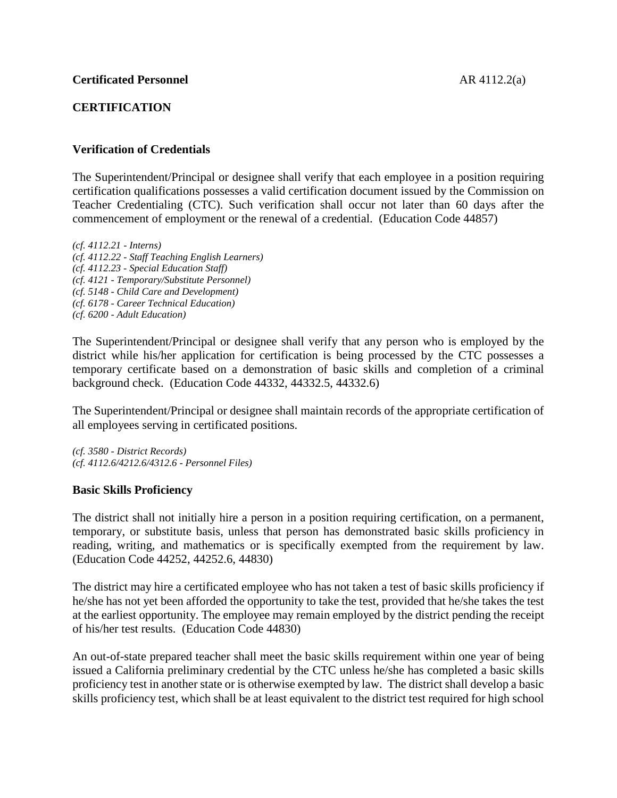# **CERTIFICATION**

# **Verification of Credentials**

The Superintendent/Principal or designee shall verify that each employee in a position requiring certification qualifications possesses a valid certification document issued by the Commission on Teacher Credentialing (CTC). Such verification shall occur not later than 60 days after the commencement of employment or the renewal of a credential. (Education Code 44857)

*(cf. 4112.21 - Interns) (cf. 4112.22 - Staff Teaching English Learners) (cf. 4112.23 - Special Education Staff) (cf. 4121 - Temporary/Substitute Personnel) (cf. 5148 - Child Care and Development) (cf. 6178 - Career Technical Education) (cf. 6200 - Adult Education)*

The Superintendent/Principal or designee shall verify that any person who is employed by the district while his/her application for certification is being processed by the CTC possesses a temporary certificate based on a demonstration of basic skills and completion of a criminal background check. (Education Code 44332, 44332.5, 44332.6)

The Superintendent/Principal or designee shall maintain records of the appropriate certification of all employees serving in certificated positions.

*(cf. 3580 - District Records) (cf. 4112.6/4212.6/4312.6 - Personnel Files)*

## **Basic Skills Proficiency**

The district shall not initially hire a person in a position requiring certification, on a permanent, temporary, or substitute basis, unless that person has demonstrated basic skills proficiency in reading, writing, and mathematics or is specifically exempted from the requirement by law. (Education Code 44252, 44252.6, 44830)

The district may hire a certificated employee who has not taken a test of basic skills proficiency if he/she has not yet been afforded the opportunity to take the test, provided that he/she takes the test at the earliest opportunity. The employee may remain employed by the district pending the receipt of his/her test results. (Education Code 44830)

An out-of-state prepared teacher shall meet the basic skills requirement within one year of being issued a California preliminary credential by the CTC unless he/she has completed a basic skills proficiency test in another state or is otherwise exempted by law. The district shall develop a basic skills proficiency test, which shall be at least equivalent to the district test required for high school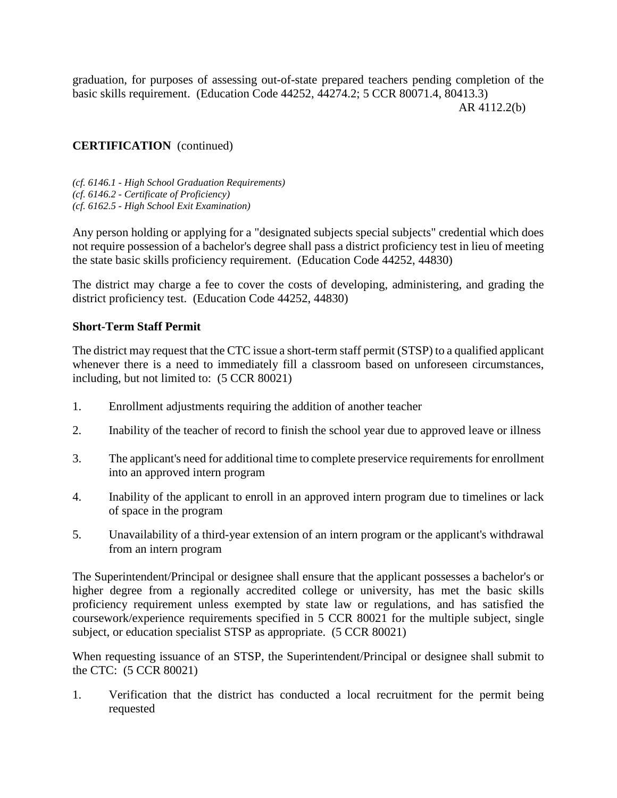graduation, for purposes of assessing out-of-state prepared teachers pending completion of the basic skills requirement. (Education Code 44252, 44274.2; 5 CCR 80071.4, 80413.3) AR 4112.2(b)

# **CERTIFICATION** (continued)

*(cf. 6146.1 - High School Graduation Requirements) (cf. 6146.2 - Certificate of Proficiency) (cf. 6162.5 - High School Exit Examination)*

Any person holding or applying for a "designated subjects special subjects" credential which does not require possession of a bachelor's degree shall pass a district proficiency test in lieu of meeting the state basic skills proficiency requirement. (Education Code 44252, 44830)

The district may charge a fee to cover the costs of developing, administering, and grading the district proficiency test. (Education Code 44252, 44830)

## **Short-Term Staff Permit**

The district may request that the CTC issue a short-term staff permit (STSP) to a qualified applicant whenever there is a need to immediately fill a classroom based on unforeseen circumstances, including, but not limited to: (5 CCR 80021)

- 1. Enrollment adjustments requiring the addition of another teacher
- 2. Inability of the teacher of record to finish the school year due to approved leave or illness
- 3. The applicant's need for additional time to complete preservice requirements for enrollment into an approved intern program
- 4. Inability of the applicant to enroll in an approved intern program due to timelines or lack of space in the program
- 5. Unavailability of a third-year extension of an intern program or the applicant's withdrawal from an intern program

The Superintendent/Principal or designee shall ensure that the applicant possesses a bachelor's or higher degree from a regionally accredited college or university, has met the basic skills proficiency requirement unless exempted by state law or regulations, and has satisfied the coursework/experience requirements specified in 5 CCR 80021 for the multiple subject, single subject, or education specialist STSP as appropriate. (5 CCR 80021)

When requesting issuance of an STSP, the Superintendent/Principal or designee shall submit to the CTC: (5 CCR 80021)

1. Verification that the district has conducted a local recruitment for the permit being requested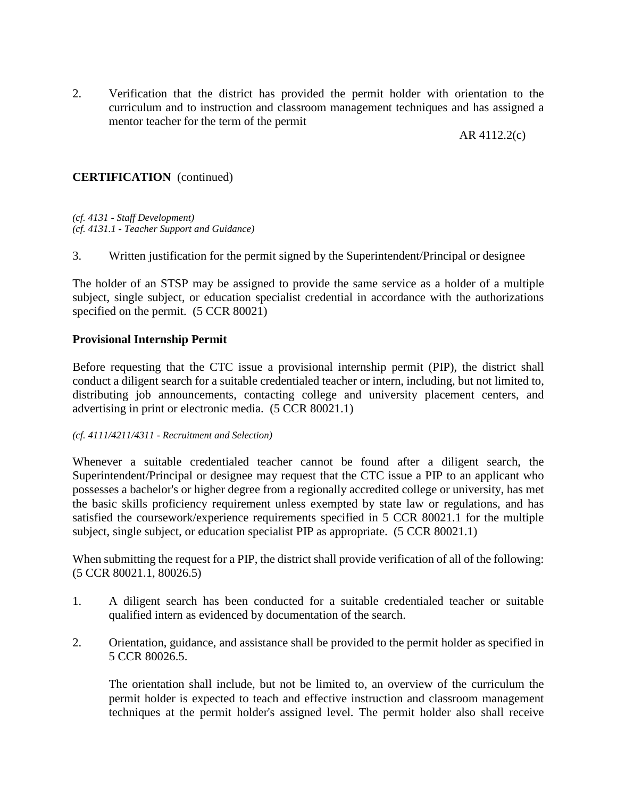2. Verification that the district has provided the permit holder with orientation to the curriculum and to instruction and classroom management techniques and has assigned a mentor teacher for the term of the permit

AR 4112.2(c)

# **CERTIFICATION** (continued)

*(cf. 4131 - Staff Development) (cf. 4131.1 - Teacher Support and Guidance)*

3. Written justification for the permit signed by the Superintendent/Principal or designee

The holder of an STSP may be assigned to provide the same service as a holder of a multiple subject, single subject, or education specialist credential in accordance with the authorizations specified on the permit. (5 CCR 80021)

#### **Provisional Internship Permit**

Before requesting that the CTC issue a provisional internship permit (PIP), the district shall conduct a diligent search for a suitable credentialed teacher or intern, including, but not limited to, distributing job announcements, contacting college and university placement centers, and advertising in print or electronic media. (5 CCR 80021.1)

#### *(cf. 4111/4211/4311 - Recruitment and Selection)*

Whenever a suitable credentialed teacher cannot be found after a diligent search, the Superintendent/Principal or designee may request that the CTC issue a PIP to an applicant who possesses a bachelor's or higher degree from a regionally accredited college or university, has met the basic skills proficiency requirement unless exempted by state law or regulations, and has satisfied the coursework/experience requirements specified in 5 CCR 80021.1 for the multiple subject, single subject, or education specialist PIP as appropriate. (5 CCR 80021.1)

When submitting the request for a PIP, the district shall provide verification of all of the following: (5 CCR 80021.1, 80026.5)

- 1. A diligent search has been conducted for a suitable credentialed teacher or suitable qualified intern as evidenced by documentation of the search.
- 2. Orientation, guidance, and assistance shall be provided to the permit holder as specified in 5 CCR 80026.5.

The orientation shall include, but not be limited to, an overview of the curriculum the permit holder is expected to teach and effective instruction and classroom management techniques at the permit holder's assigned level. The permit holder also shall receive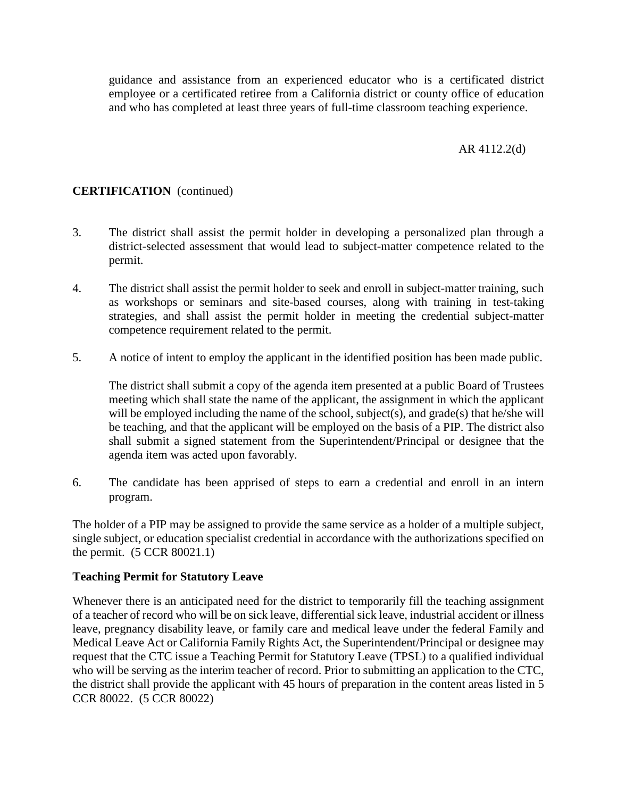guidance and assistance from an experienced educator who is a certificated district employee or a certificated retiree from a California district or county office of education and who has completed at least three years of full-time classroom teaching experience.

# AR 4112.2(d)

# **CERTIFICATION** (continued)

- 3. The district shall assist the permit holder in developing a personalized plan through a district-selected assessment that would lead to subject-matter competence related to the permit.
- 4. The district shall assist the permit holder to seek and enroll in subject-matter training, such as workshops or seminars and site-based courses, along with training in test-taking strategies, and shall assist the permit holder in meeting the credential subject-matter competence requirement related to the permit.
- 5. A notice of intent to employ the applicant in the identified position has been made public.

The district shall submit a copy of the agenda item presented at a public Board of Trustees meeting which shall state the name of the applicant, the assignment in which the applicant will be employed including the name of the school, subject(s), and grade(s) that he/she will be teaching, and that the applicant will be employed on the basis of a PIP. The district also shall submit a signed statement from the Superintendent/Principal or designee that the agenda item was acted upon favorably.

6. The candidate has been apprised of steps to earn a credential and enroll in an intern program.

The holder of a PIP may be assigned to provide the same service as a holder of a multiple subject, single subject, or education specialist credential in accordance with the authorizations specified on the permit. (5 CCR 80021.1)

## **Teaching Permit for Statutory Leave**

Whenever there is an anticipated need for the district to temporarily fill the teaching assignment of a teacher of record who will be on sick leave, differential sick leave, industrial accident or illness leave, pregnancy disability leave, or family care and medical leave under the federal Family and Medical Leave Act or California Family Rights Act, the Superintendent/Principal or designee may request that the CTC issue a Teaching Permit for Statutory Leave (TPSL) to a qualified individual who will be serving as the interim teacher of record. Prior to submitting an application to the CTC, the district shall provide the applicant with 45 hours of preparation in the content areas listed in 5 CCR 80022. (5 CCR 80022)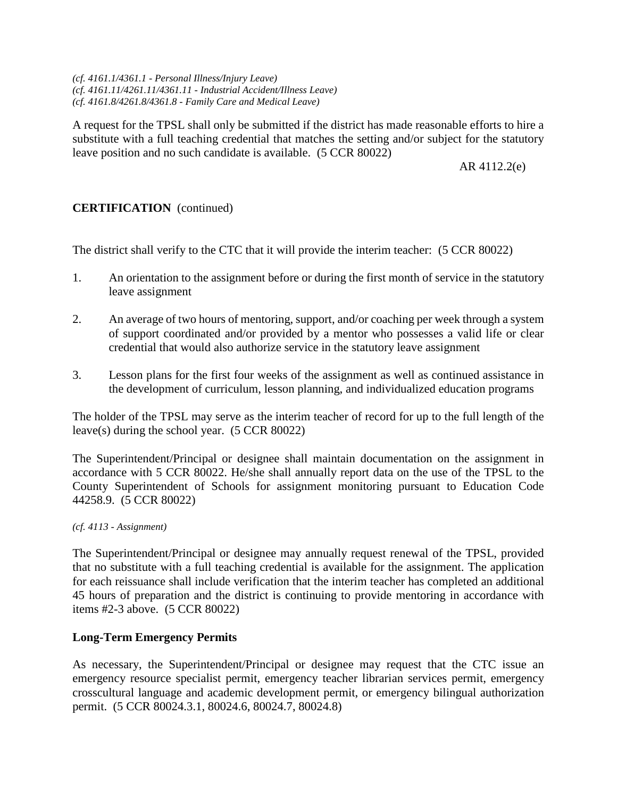*(cf. 4161.1/4361.1 - Personal Illness/Injury Leave) (cf. 4161.11/4261.11/4361.11 - Industrial Accident/Illness Leave) (cf. 4161.8/4261.8/4361.8 - Family Care and Medical Leave)*

A request for the TPSL shall only be submitted if the district has made reasonable efforts to hire a substitute with a full teaching credential that matches the setting and/or subject for the statutory leave position and no such candidate is available. (5 CCR 80022)

AR 4112.2(e)

# **CERTIFICATION** (continued)

The district shall verify to the CTC that it will provide the interim teacher: (5 CCR 80022)

- 1. An orientation to the assignment before or during the first month of service in the statutory leave assignment
- 2. An average of two hours of mentoring, support, and/or coaching per week through a system of support coordinated and/or provided by a mentor who possesses a valid life or clear credential that would also authorize service in the statutory leave assignment
- 3. Lesson plans for the first four weeks of the assignment as well as continued assistance in the development of curriculum, lesson planning, and individualized education programs

The holder of the TPSL may serve as the interim teacher of record for up to the full length of the leave(s) during the school year. (5 CCR 80022)

The Superintendent/Principal or designee shall maintain documentation on the assignment in accordance with 5 CCR 80022. He/she shall annually report data on the use of the TPSL to the County Superintendent of Schools for assignment monitoring pursuant to Education Code 44258.9. (5 CCR 80022)

#### *(cf. 4113 - Assignment)*

The Superintendent/Principal or designee may annually request renewal of the TPSL, provided that no substitute with a full teaching credential is available for the assignment. The application for each reissuance shall include verification that the interim teacher has completed an additional 45 hours of preparation and the district is continuing to provide mentoring in accordance with items #2-3 above. (5 CCR 80022)

## **Long-Term Emergency Permits**

As necessary, the Superintendent/Principal or designee may request that the CTC issue an emergency resource specialist permit, emergency teacher librarian services permit, emergency crosscultural language and academic development permit, or emergency bilingual authorization permit. (5 CCR 80024.3.1, 80024.6, 80024.7, 80024.8)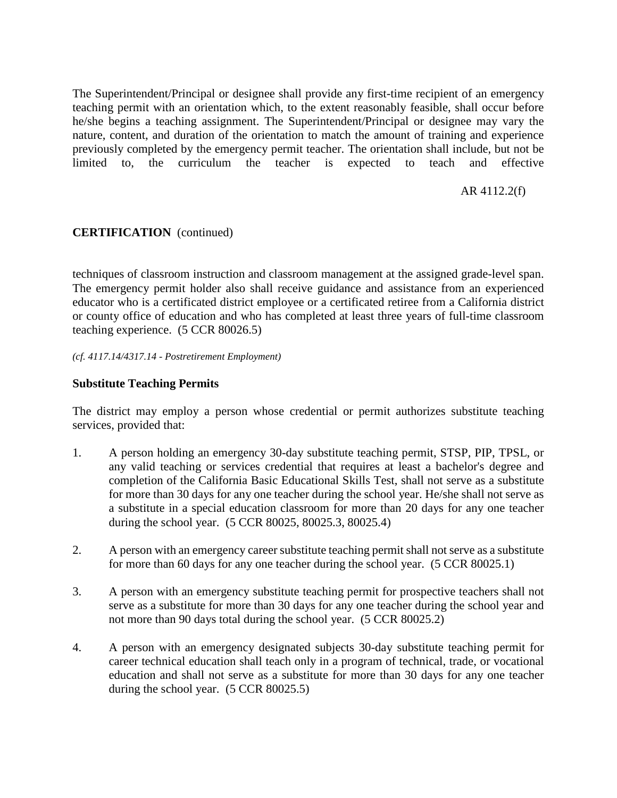The Superintendent/Principal or designee shall provide any first-time recipient of an emergency teaching permit with an orientation which, to the extent reasonably feasible, shall occur before he/she begins a teaching assignment. The Superintendent/Principal or designee may vary the nature, content, and duration of the orientation to match the amount of training and experience previously completed by the emergency permit teacher. The orientation shall include, but not be limited to, the curriculum the teacher is expected to teach and effective

## AR 4112.2(f)

# **CERTIFICATION** (continued)

techniques of classroom instruction and classroom management at the assigned grade-level span. The emergency permit holder also shall receive guidance and assistance from an experienced educator who is a certificated district employee or a certificated retiree from a California district or county office of education and who has completed at least three years of full-time classroom teaching experience. (5 CCR 80026.5)

*(cf. 4117.14/4317.14 - Postretirement Employment)*

# **Substitute Teaching Permits**

The district may employ a person whose credential or permit authorizes substitute teaching services, provided that:

- 1. A person holding an emergency 30-day substitute teaching permit, STSP, PIP, TPSL, or any valid teaching or services credential that requires at least a bachelor's degree and completion of the California Basic Educational Skills Test, shall not serve as a substitute for more than 30 days for any one teacher during the school year. He/she shall not serve as a substitute in a special education classroom for more than 20 days for any one teacher during the school year. (5 CCR 80025, 80025.3, 80025.4)
- 2. A person with an emergency career substitute teaching permit shall not serve as a substitute for more than 60 days for any one teacher during the school year. (5 CCR 80025.1)
- 3. A person with an emergency substitute teaching permit for prospective teachers shall not serve as a substitute for more than 30 days for any one teacher during the school year and not more than 90 days total during the school year. (5 CCR 80025.2)
- 4. A person with an emergency designated subjects 30-day substitute teaching permit for career technical education shall teach only in a program of technical, trade, or vocational education and shall not serve as a substitute for more than 30 days for any one teacher during the school year. (5 CCR 80025.5)